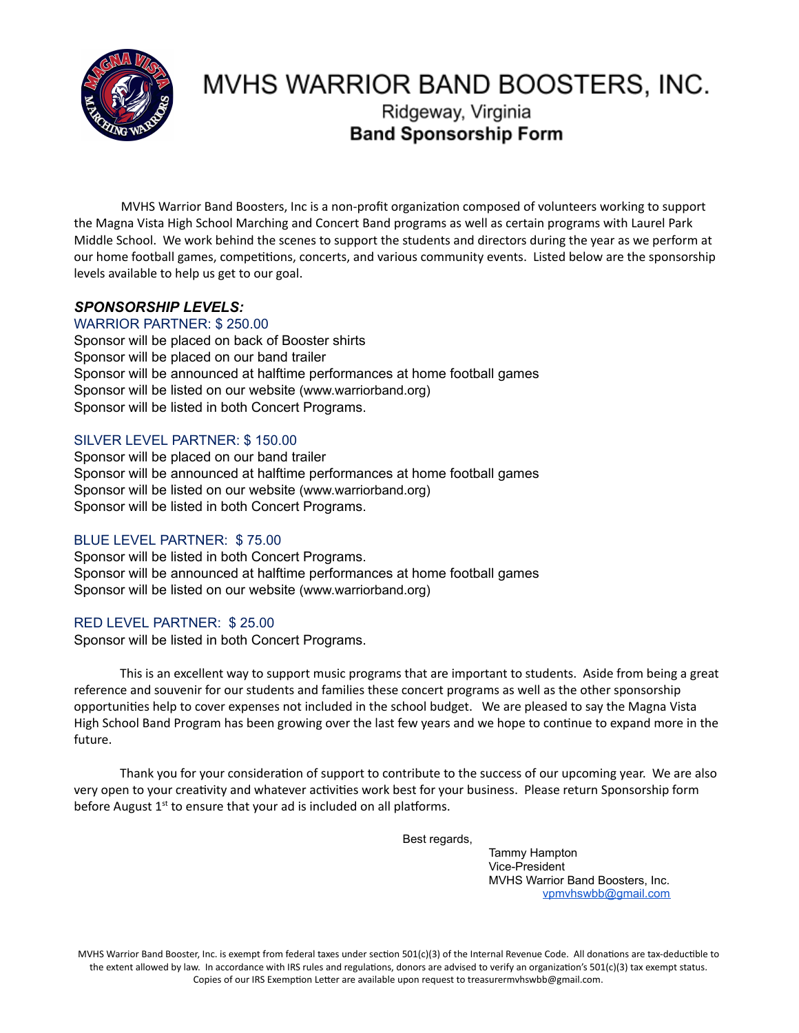

# MVHS WARRIOR BAND BOOSTERS, INC.

## Ridgeway, Virginia **Band Sponsorship Form**

MVHS Warrior Band Boosters, Inc is a non-profit organization composed of volunteers working to support the Magna Vista High School Marching and Concert Band programs as well as certain programs with Laurel Park Middle School. We work behind the scenes to support the students and directors during the year as we perform at our home football games, competitions, concerts, and various community events. Listed below are the sponsorship levels available to help us get to our goal.

### *SPONSORSHIP LEVELS:*

#### WARRIOR PARTNER: \$ 250.00

Sponsor will be placed on back of Booster shirts Sponsor will be placed on our band trailer Sponsor will be announced at halftime performances at home football games Sponsor will be listed on our website (www.warriorband.org) Sponsor will be listed in both Concert Programs.

#### SILVER LEVEL PARTNER: \$ 150.00

Sponsor will be placed on our band trailer Sponsor will be announced at halftime performances at home football games Sponsor will be listed on our website (www.warriorband.org) Sponsor will be listed in both Concert Programs.

#### BLUE LEVEL PARTNER: \$ 75.00

Sponsor will be listed in both Concert Programs. Sponsor will be announced at halftime performances at home football games Sponsor will be listed on our website (www.warriorband.org)

#### RED LEVEL PARTNER: \$ 25.00

Sponsor will be listed in both Concert Programs.

This is an excellent way to support music programs that are important to students. Aside from being a great reference and souvenir for our students and families these concert programs as well as the other sponsorship opportunities help to cover expenses not included in the school budget. We are pleased to say the Magna Vista High School Band Program has been growing over the last few years and we hope to continue to expand more in the future.

Thank you for your consideration of support to contribute to the success of our upcoming year. We are also very open to your creativity and whatever activities work best for your business. Please return Sponsorship form before August 1<sup>st</sup> to ensure that your ad is included on all platforms.

Best regards,

Tammy Hampton Vice-President MVHS Warrior Band Boosters, Inc. [vpmvhswbb@gmail.com](mailto:vpmvhswbb@gmail.com) 

MVHS Warrior Band Booster, Inc. is exempt from federal taxes under section 501(c)(3) of the Internal Revenue Code. All donations are tax-deductible to the extent allowed by law. In accordance with IRS rules and regulations, donors are advised to verify an organization's 501(c)(3) tax exempt status. Copies of our IRS Exemption Letter are available upon request to treasurermvhswbb@gmail.com.